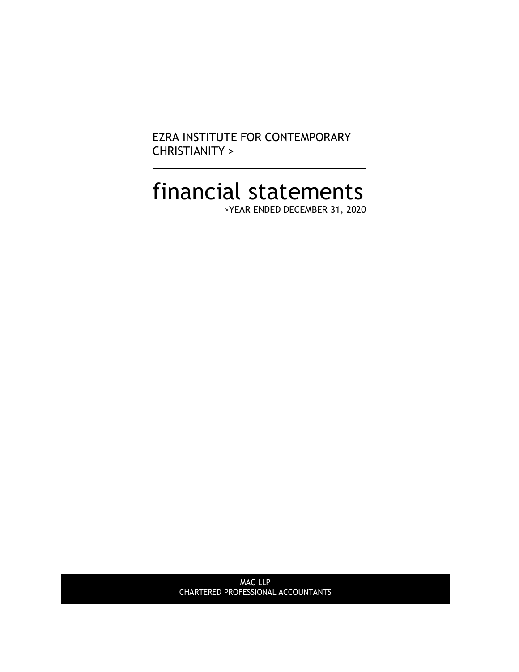EZRA INSTITUTE FOR CONTEMPORARY CHRISTIANITY >

# financial statements

>YEAR ENDED DECEMBER 31, 2020

MAC LLP CHARTERED PROFESSIONAL ACCOUNTANTS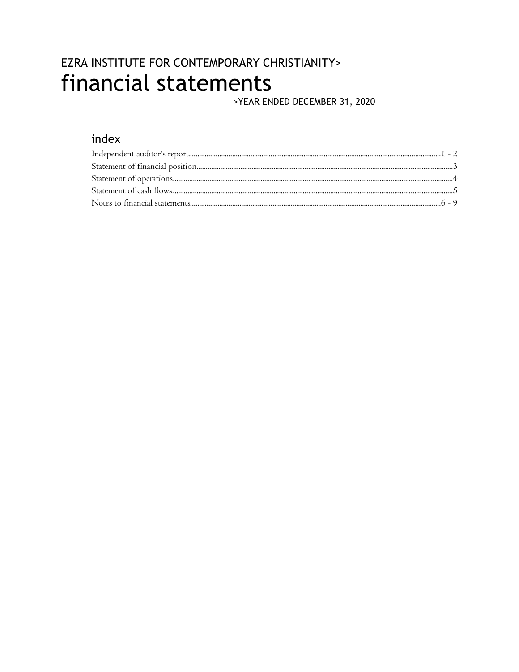## EZRA INSTITUTE FOR CONTEMPORARY CHRISTIANITY> financial statements

>YEAR ENDED DECEMBER 31, 2020

## index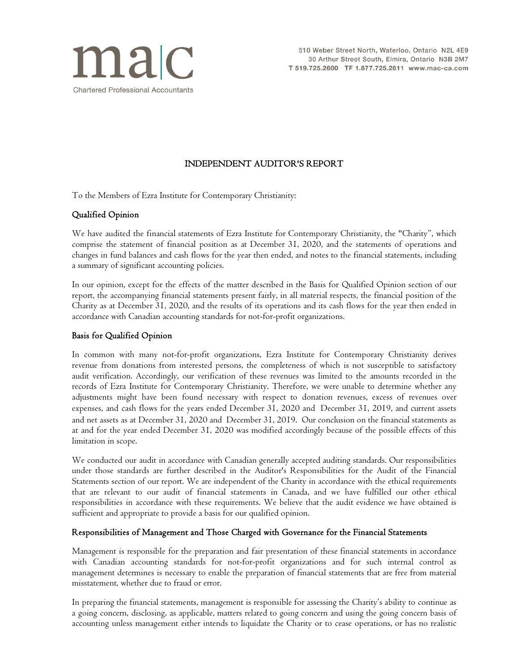

#### INDEPENDENT AUDITOR'S REPORT

To the Members of Ezra Institute for Contemporary Christianity:

#### Qualified Opinion

We have audited the financial statements of Ezra Institute for Contemporary Christianity, the "Charity", which comprise the statement of financial position as at December 31, 2020, and the statements of operations and changes in fund balances and cash flows for the year then ended, and notes to the financial statements, including a summary of significant accounting policies.

In our opinion, except for the effects of the matter described in the Basis for Qualified Opinion section of our report, the accompanying financial statements present fairly, in all material respects, the financial position of the Charity as at December 31, 2020, and the results of its operations and its cash flows for the year then ended in accordance with Canadian accounting standards for not-for-profit organizations.

#### Basis for Qualified Opinion

In common with many not-for-profit organizations, Ezra Institute for Contemporary Christianity derives revenue from donations from interested persons, the completeness of which is not susceptible to satisfactory audit verification. Accordingly, our verification of these revenues was limited to the amounts recorded in the records of Ezra Institute for Contemporary Christianity. Therefore, we were unable to determine whether any adjustments might have been found necessary with respect to donation revenues, excess of revenues over expenses, and cash flows for the years ended December 31, 2020 and December 31, 2019, and current assets and net assets as at December 31, 2020 and December 31, 2019. Our conclusion on the financial statements as at and for the year ended December 31, 2020 was modified accordingly because of the possible effects of this limitation in scope.

We conducted our audit in accordance with Canadian generally accepted auditing standards. Our responsibilities under those standards are further described in the Auditor's Responsibilities for the Audit of the Financial Statements section of our report. We are independent of the Charity in accordance with the ethical requirements that are relevant to our audit of financial statements in Canada, and we have fulfilled our other ethical responsibilities in accordance with these requirements. We believe that the audit evidence we have obtained is sufficient and appropriate to provide a basis for our qualified opinion.

#### Responsibilities of Management and Those Charged with Governance for the Financial Statements

Management is responsible for the preparation and fair presentation of these financial statements in accordance with Canadian accounting standards for not-for-profit organizations and for such internal control as management determines is necessary to enable the preparation of financial statements that are free from material misstatement, whether due to fraud or error.

In preparing the financial statements, management is responsible for assessing the Charity's ability to continue as a going concern, disclosing, as applicable, matters related to going concern and using the going concern basis of accounting unless management either intends to liquidate the Charity or to cease operations, or has no realistic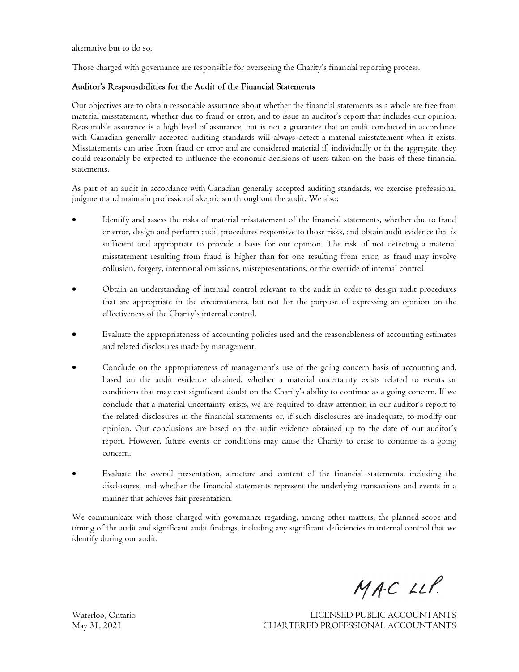alternative but to do so.

Those charged with governance are responsible for overseeing the Charity's financial reporting process.

#### Auditor's Responsibilities for the Audit of the Financial Statements

Our objectives are to obtain reasonable assurance about whether the financial statements as a whole are free from material misstatement, whether due to fraud or error, and to issue an auditor's report that includes our opinion. Reasonable assurance is a high level of assurance, but is not a guarantee that an audit conducted in accordance with Canadian generally accepted auditing standards will always detect a material misstatement when it exists. Misstatements can arise from fraud or error and are considered material if, individually or in the aggregate, they could reasonably be expected to influence the economic decisions of users taken on the basis of these financial statements.

As part of an audit in accordance with Canadian generally accepted auditing standards, we exercise professional judgment and maintain professional skepticism throughout the audit. We also:

- Identify and assess the risks of material misstatement of the financial statements, whether due to fraud or error, design and perform audit procedures responsive to those risks, and obtain audit evidence that is sufficient and appropriate to provide a basis for our opinion. The risk of not detecting a material misstatement resulting from fraud is higher than for one resulting from error, as fraud may involve collusion, forgery, intentional omissions, misrepresentations, or the override of internal control.
- · Obtain an understanding of internal control relevant to the audit in order to design audit procedures that are appropriate in the circumstances, but not for the purpose of expressing an opinion on the effectiveness of the Charity's internal control.
- Evaluate the appropriateness of accounting policies used and the reasonableness of accounting estimates and related disclosures made by management.
- · Conclude on the appropriateness of management's use of the going concern basis of accounting and, based on the audit evidence obtained, whether a material uncertainty exists related to events or conditions that may cast significant doubt on the Charity's ability to continue as a going concern. If we conclude that a material uncertainty exists, we are required to draw attention in our auditor's report to the related disclosures in the financial statements or, if such disclosures are inadequate, to modify our opinion. Our conclusions are based on the audit evidence obtained up to the date of our auditor's report. However, future events or conditions may cause the Charity to cease to continue as a going concern.
- · Evaluate the overall presentation, structure and content of the financial statements, including the disclosures, and whether the financial statements represent the underlying transactions and events in a manner that achieves fair presentation.

We communicate with those charged with governance regarding, among other matters, the planned scope and timing of the audit and significant audit findings, including any significant deficiencies in internal control that we identify during our audit.

MAC LLP.

Waterloo, Ontario LICENSED PUBLIC ACCOUNTANTS May 31, 2021 CHARTERED PROFESSIONAL ACCOUNTANTS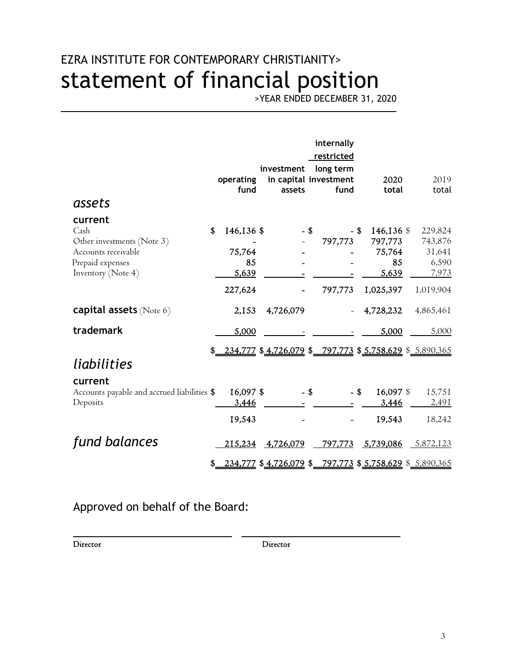# EZRA INSTITUTE FOR CONTEMPORARY CHRISTIANITY> statement of financial position

>YEAR ENDED DECEMBER 31, 2020

| assets                                      | operating<br>fund | investment<br>assets |      | internally<br>restricted<br>long term<br>in capital investment<br>fund | 2020<br>total                                                     | 2019<br>total  |
|---------------------------------------------|-------------------|----------------------|------|------------------------------------------------------------------------|-------------------------------------------------------------------|----------------|
| current                                     |                   |                      |      |                                                                        |                                                                   |                |
| Cash                                        | \$<br>146,136 \$  |                      | - \$ | - \$                                                                   | 146,136 \$                                                        | 229,824        |
| Other investments (Note 3)                  |                   |                      |      | 797,773                                                                | 797,773                                                           | 743,876        |
| Accounts receivable                         | 75,764            |                      |      |                                                                        | 75,764<br>85                                                      | 31,641         |
| Prepaid expenses<br>Inventory (Note 4)      | 85<br>5,639       |                      |      |                                                                        | 5,639                                                             | 6,590<br>7,973 |
|                                             |                   |                      |      |                                                                        |                                                                   |                |
|                                             | 227,624           |                      |      | 797,773                                                                | 1,025,397                                                         | 1,019,904      |
| <b>capital assets</b> (Note 6)              | 2,153             | 4,726,079            |      |                                                                        | 4,728,232                                                         | 4,865,461      |
| trademark                                   | 5,000             |                      |      |                                                                        | 5,000                                                             | 5,000          |
|                                             |                   |                      |      |                                                                        | $$ 234,777$ $$ 4,726,079$ $$ 797,773$ $$ 5,758,629$ $$ 5,890,365$ |                |
| liabilities                                 |                   |                      |      |                                                                        |                                                                   |                |
| current                                     |                   |                      |      |                                                                        |                                                                   |                |
| Accounts payable and accrued liabilities \$ | 16,097 \$         |                      | - \$ | $-$ \$                                                                 | 16,097 \$                                                         | 15,751         |
| Deposits                                    | 3,446             |                      |      |                                                                        | 3,446                                                             | 2,491          |
|                                             | 19,543            |                      |      |                                                                        | 19,543                                                            | 18,242         |
| fund balances                               | 215,234           | 4,726,079            |      | 797,773                                                                | 5,739,086                                                         | 5,872,123      |
|                                             |                   |                      |      |                                                                        | \$234,777 \$4,726,079 \$797,773 \$5,758,629 \$5,890,365           |                |

Approved on behalf of the Board:

Director Director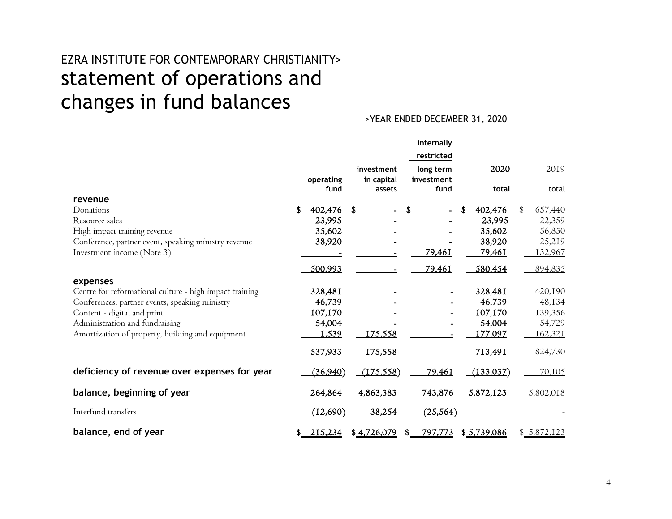# EZRA INSTITUTE FOR CONTEMPORARY CHRISTIANITY> statement of operations and changes in fund balances

>YEAR ENDED DECEMBER 31, 2020

|                                                         | operating<br>fund |      | investment<br>in capital<br>assets |    | internally<br>restricted<br>long term<br>investment<br>fund | 2020<br>total     | 2019<br>total     |
|---------------------------------------------------------|-------------------|------|------------------------------------|----|-------------------------------------------------------------|-------------------|-------------------|
| revenue<br>Donations                                    | \$                | - \$ |                                    |    |                                                             | \$                | \$                |
| Resource sales                                          | 402,476<br>23,995 |      |                                    | S  |                                                             | 402,476<br>23,995 | 657,440<br>22,359 |
| High impact training revenue                            | 35,602            |      |                                    |    |                                                             | 35,602            | 56,850            |
| Conference, partner event, speaking ministry revenue    | 38,920            |      |                                    |    |                                                             | 38,920            | 25,219            |
| Investment income (Note 3)                              |                   |      |                                    |    | 79,461                                                      | 79,46I            | 132,967           |
| expenses                                                | 500,993           |      |                                    |    | 79,461                                                      | 580,454           | 894,835           |
| Centre for reformational culture - high impact training | 328,481           |      |                                    |    |                                                             | 328,481           | 420,190           |
| Conferences, partner events, speaking ministry          | 46,739            |      |                                    |    |                                                             | 46,739            | 48,134            |
| Content - digital and print                             | 107,170           |      |                                    |    |                                                             | 107,170           | 139,356           |
| Administration and fundraising                          | 54,004            |      |                                    |    |                                                             | 54,004            | 54,729            |
| Amortization of property, building and equipment        | 1,539             |      | <u>175,558</u>                     |    |                                                             | 177,097           | 162,321           |
|                                                         | 537,933           |      | 175,558                            |    |                                                             | 713,491           | 824,730           |
| deficiency of revenue over expenses for year            | (36,940)          |      | (175, 558)                         |    | 79,46I                                                      | (133, 037)        | 70,105            |
| balance, beginning of year                              | 264,864           |      | 4,863,383                          |    | 743,876                                                     | 5,872,123         | 5,802,018         |
| Interfund transfers                                     | (12, 690)         |      | 38,254                             |    | (25, 564)                                                   |                   |                   |
| balance, end of year                                    | \$<br>215,234     |      | \$4,726,079                        | -S | 797,773                                                     | \$5,739,086       | \$5,872,123       |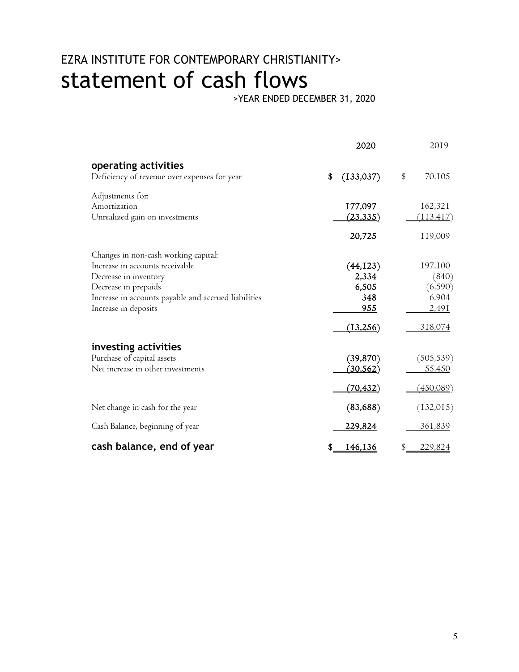# EZRA INSTITUTE FOR CONTEMPORARY CHRISTIANITY> statement of cash flows

>YEAR ENDED DECEMBER 31, 2020

|                                                      | 2020           | 2019                 |
|------------------------------------------------------|----------------|----------------------|
| operating activities                                 | (133, 037)     | \$                   |
| Deficiency of revenue over expenses for year         | \$             | 70,105               |
| Adjustments for:                                     | 177,097        | 162,321              |
| Amortization                                         | (23, 335)      | (113, 417)           |
| Unrealized gain on investments                       | 20,725         | 119,009              |
| Changes in non-cash working capital:                 | (44, 123)      | 197,100              |
| Increase in accounts receivable                      | 2,334          | (840)                |
| Decrease in inventory                                | 6,505          | (6, 590)             |
| Decrease in prepaids                                 | 348            | 6,904                |
| Increase in accounts payable and accrued liabilities | 955            | 2,491                |
| Increase in deposits                                 | (13,256)       | 318,074              |
| investing activities                                 | (39, 870)      | (505, 539)           |
| Purchase of capital assets                           | (30, 562)      | 55,450               |
| Net increase in other investments                    | (70, 432)      | <u>(450,089)</u>     |
| Net change in cash for the year                      | (83, 688)      | (132, 015)           |
| Cash Balance, beginning of year                      | <u>229,824</u> | <u>361,839</u>       |
| cash balance, end of year                            | 146,136<br>\$  | \$<br><u>229,824</u> |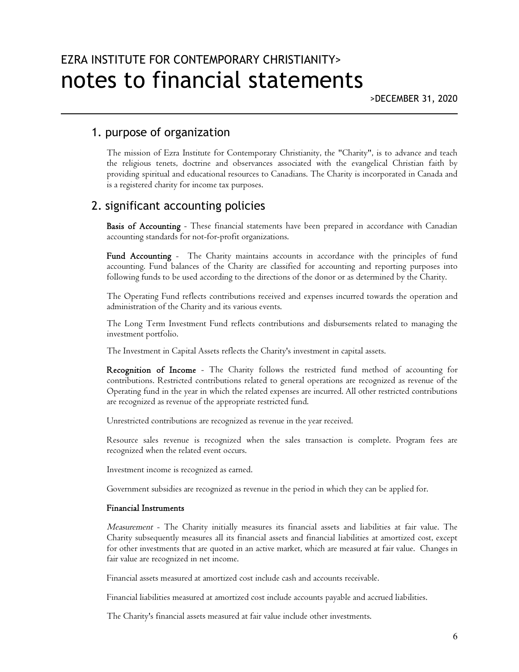## 1. purpose of organization

The mission of Ezra Institute for Contemporary Christianity, the "Charity", is to advance and teach the religious tenets, doctrine and observances associated with the evangelical Christian faith by providing spiritual and educational resources to Canadians. The Charity is incorporated in Canada and is a registered charity for income tax purposes.

## 2. significant accounting policies

Basis of Accounting - These financial statements have been prepared in accordance with Canadian accounting standards for not-for-profit organizations.

Fund Accounting - The Charity maintains accounts in accordance with the principles of fund accounting. Fund balances of the Charity are classified for accounting and reporting purposes into following funds to be used according to the directions of the donor or as determined by the Charity.

The Operating Fund reflects contributions received and expenses incurred towards the operation and administration of the Charity and its various events.

The Long Term Investment Fund reflects contributions and disbursements related to managing the investment portfolio.

The Investment in Capital Assets reflects the Charity's investment in capital assets.

Recognition of Income - The Charity follows the restricted fund method of accounting for contributions. Restricted contributions related to general operations are recognized as revenue of the Operating fund in the year in which the related expenses are incurred. All other restricted contributions are recognized as revenue of the appropriate restricted fund.

Unrestricted contributions are recognized as revenue in the year received.

Resource sales revenue is recognized when the sales transaction is complete. Program fees are recognized when the related event occurs.

Investment income is recognized as earned.

Government subsidies are recognized as revenue in the period in which they can be applied for.

#### Financial Instruments

Measurement - The Charity initially measures its financial assets and liabilities at fair value. The Charity subsequently measures all its financial assets and financial liabilities at amortized cost, except for other investments that are quoted in an active market, which are measured at fair value. Changes in fair value are recognized in net income.

Financial assets measured at amortized cost include cash and accounts receivable.

Financial liabilities measured at amortized cost include accounts payable and accrued liabilities.

The Charity's financial assets measured at fair value include other investments.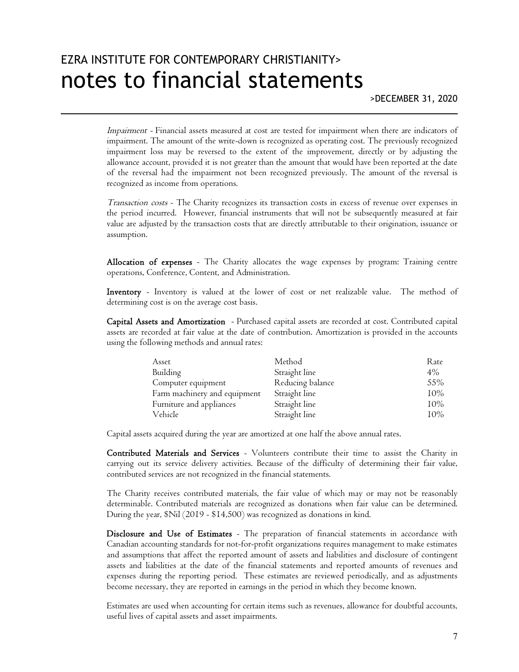## EZRA INSTITUTE FOR CONTEMPORARY CHRISTIANITY> notes to financial statements

Impairment - Financial assets measured at cost are tested for impairment when there are indicators of impairment. The amount of the write-down is recognized as operating cost. The previously recognized impairment loss may be reversed to the extent of the improvement, directly or by adjusting the allowance account, provided it is not greater than the amount that would have been reported at the date of the reversal had the impairment not been recognized previously. The amount of the reversal is recognized as income from operations.

Transaction costs - The Charity recognizes its transaction costs in excess of revenue over expenses in the period incurred. However, financial instruments that will not be subsequently measured at fair value are adjusted by the transaction costs that are directly attributable to their origination, issuance or assumption.

Allocation of expenses - The Charity allocates the wage expenses by program: Training centre operations, Conference, Content, and Administration.

Inventory - Inventory is valued at the lower of cost or net realizable value. The method of determining cost is on the average cost basis.

Capital Assets and Amortization - Purchased capital assets are recorded at cost. Contributed capital assets are recorded at fair value at the date of contribution. Amortization is provided in the accounts using the following methods and annual rates:

| Asset                        | Method           | Rate   |
|------------------------------|------------------|--------|
| Building                     | Straight line    | 4%     |
| Computer equipment           | Reducing balance | 55%    |
| Farm machinery and equipment | Straight line    | $10\%$ |
| Furniture and appliances     | Straight line    | 10%    |
| Vehicle                      | Straight line    | $10\%$ |

Capital assets acquired during the year are amortized at one half the above annual rates.

Contributed Materials and Services - Volunteers contribute their time to assist the Charity in carrying out its service delivery activities. Because of the difficulty of determining their fair value, contributed services are not recognized in the financial statements.

The Charity receives contributed materials, the fair value of which may or may not be reasonably determinable. Contributed materials are recognized as donations when fair value can be determined. During the year, \$Nil (2019 - \$14,500) was recognized as donations in kind.

Disclosure and Use of Estimates - The preparation of financial statements in accordance with Canadian accounting standards for not-for-profit organizations requires management to make estimates and assumptions that affect the reported amount of assets and liabilities and disclosure of contingent assets and liabilities at the date of the financial statements and reported amounts of revenues and expenses during the reporting period. These estimates are reviewed periodically, and as adjustments become necessary, they are reported in earnings in the period in which they become known.

Estimates are used when accounting for certain items such as revenues, allowance for doubtful accounts, useful lives of capital assets and asset impairments.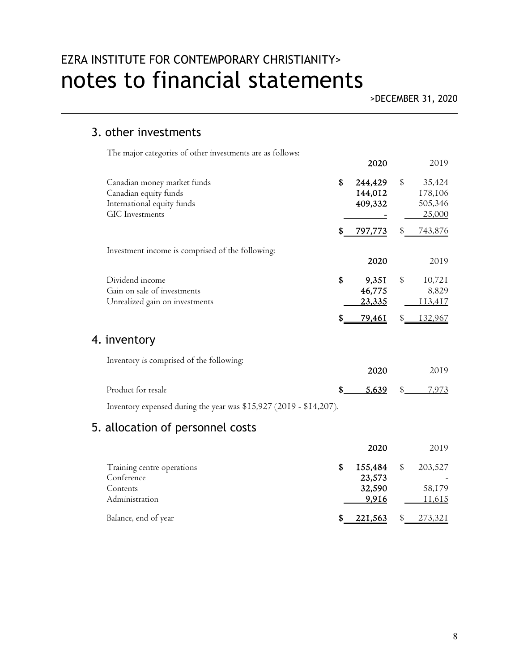# EZRA INSTITUTE FOR CONTEMPORARY CHRISTIANITY> notes to financial statements

## 3. other investments

The major categories of other investments are as follows:

|                                                                                                              |     | 2020                             |               | 2019                                   |
|--------------------------------------------------------------------------------------------------------------|-----|----------------------------------|---------------|----------------------------------------|
| Canadian money market funds<br>Canadian equity funds<br>International equity funds<br><b>GIC</b> Investments | \$  | 244,429<br>144,012<br>409,332    | $\mathcal{S}$ | 35,424<br>178,106<br>505,346<br>25,000 |
|                                                                                                              | S.  | <u>797,773</u>                   | \$            | <u>743,876</u>                         |
| Investment income is comprised of the following:                                                             |     | 2020                             |               | 2019                                   |
| Dividend income<br>Gain on sale of investments<br>Unrealized gain on investments                             | \$  | 9,351<br>46,775<br><u>23,335</u> | \$            | 10,721<br>8,829<br>113,417             |
|                                                                                                              | S   | 79,46I                           | \$            | 132,967                                |
| 4. inventory                                                                                                 |     |                                  |               |                                        |
| Inventory is comprised of the following:                                                                     |     | 2020                             |               | 2019                                   |
| Product for resale                                                                                           | \$. | 5,639                            | \$            | 7,973                                  |
| Inventory expensed during the year was \$15,927 (2019 - \$14,207).                                           |     |                                  |               |                                        |
| E allagation of paragraphs casta                                                                             |     |                                  |               |                                        |

## 5. allocation of personnel costs

|                            | 2020           | 2019           |
|----------------------------|----------------|----------------|
| Training centre operations | 155,484        | \$<br>203,527  |
| Conference                 | 23,573         |                |
| Contents                   | 32,590         | 58,179         |
| Administration             | 9,916          | 11,615         |
| Balance, end of year       | <u>221,563</u> | <u>273,321</u> |